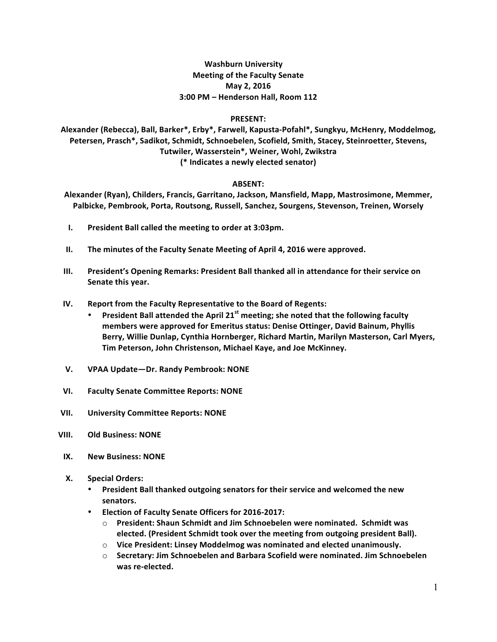## **Washburn University Meeting of the Faculty Senate May 2, 2016 3:00 PM – Henderson Hall, Room 112**

## **PRESENT:**

Alexander (Rebecca), Ball, Barker\*, Erby\*, Farwell, Kapusta-Pofahl\*, Sungkyu, McHenry, Moddelmog, Petersen, Prasch\*, Sadikot, Schmidt, Schnoebelen, Scofield, Smith, Stacey, Steinroetter, Stevens, **Tutwiler, Wasserstein\*, Weiner, Wohl, Zwikstra (\* Indicates a newly elected senator)**

## **ABSENT:**

- Alexander (Ryan), Childers, Francis, Garritano, Jackson, Mansfield, Mapp, Mastrosimone, Memmer, Palbicke, Pembrook, Porta, Routsong, Russell, Sanchez, Sourgens, Stevenson, Treinen, Worsely
- **I.** President Ball called the meeting to order at 3:03pm.
- **II.** The minutes of the Faculty Senate Meeting of April 4, 2016 were approved.
- **III.** President's Opening Remarks: President Ball thanked all in attendance for their service on Senate this year.
- **IV.** Report from the Faculty Representative to the Board of Regents:
	- President Ball attended the April 21<sup>st</sup> meeting; she noted that the following faculty members were approved for Emeritus status: Denise Ottinger, David Bainum, Phyllis Berry, Willie Dunlap, Cynthia Hornberger, Richard Martin, Marilyn Masterson, Carl Myers, Tim Peterson, John Christenson, Michael Kaye, and Joe McKinney.
- **V. VPAA Update—Dr. Randy Pembrook: NONE**
- **VI. Faculty Senate Committee Reports: NONE**
- **VII.** University Committee Reports: NONE
- **VIII. Old Business: NONE**
- **IX. New Business: NONE**
- **X. Special Orders:**
	- **•** President Ball thanked outgoing senators for their service and welcomed the new **senators.**
	- **Election of Faculty Senate Officers for 2016-2017:**
		- $\circ$  **President: Shaun Schmidt and Jim Schnoebelen were nominated. Schmidt was elected.** (President Schmidt took over the meeting from outgoing president Ball).
		- $\circ$  Vice President: Linsey Moddelmog was nominated and elected unanimously.
		- o **Secretary: Jim Schnoebelen and Barbara Scofield were nominated. Jim Schnoebelen** was re-elected.